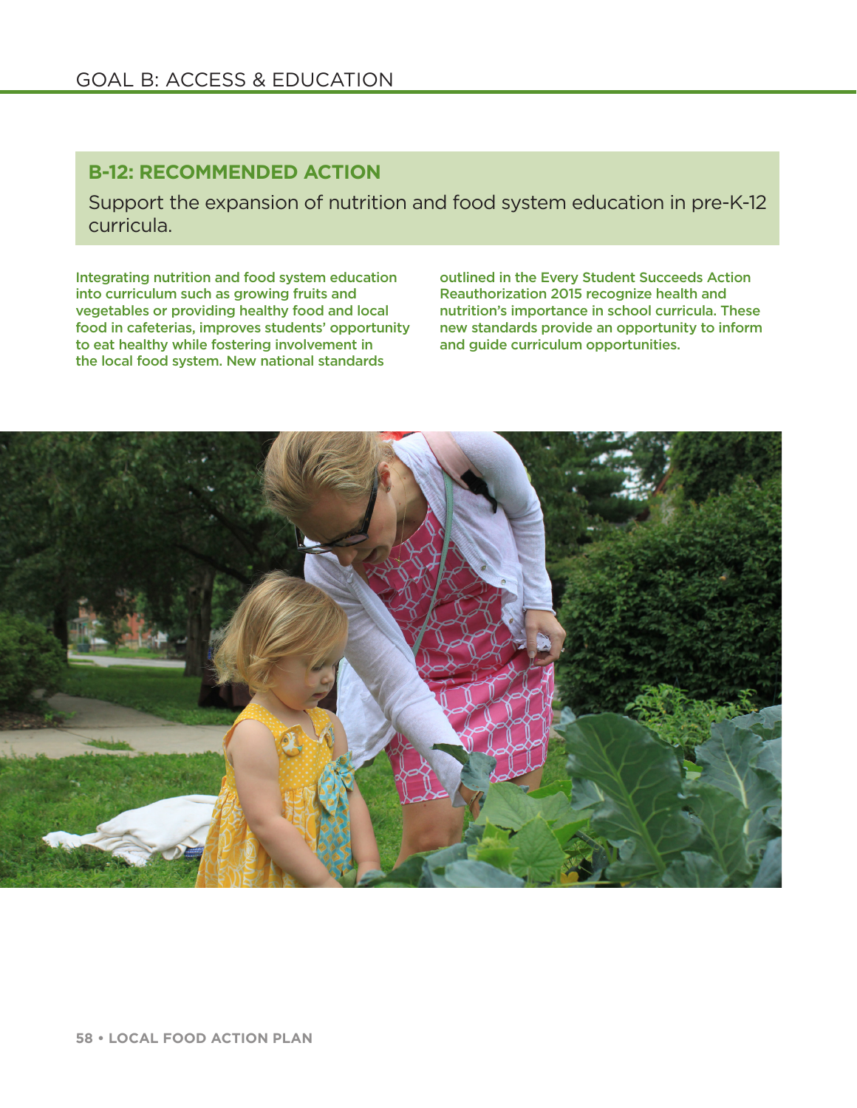## GOAL B: ACCESS & EDUCATION

## **B-12: RECOMMENDED ACTION**

Support the expansion of nutrition and food system education in pre-K-12 curricula.

Integrating nutrition and food system education into curriculum such as growing fruits and vegetables or providing healthy food and local food in cafeterias, improves students' opportunity to eat healthy while fostering involvement in the local food system. New national standards

outlined in the Every Student Succeeds Action Reauthorization 2015 recognize health and nutrition's importance in school curricula. These new standards provide an opportunity to inform and guide curriculum opportunities.